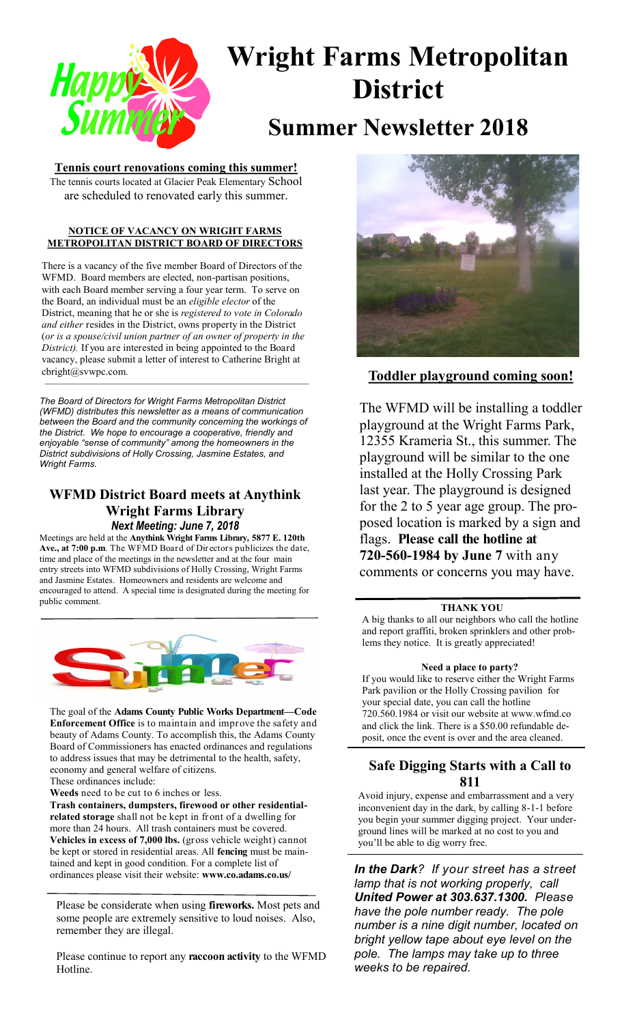

# **Wright Farms Metropolitan District**

## **Summer Newsletter 2018**

#### **Tennis court renovations coming this summer!** The tennis courts located at Glacier Peak Elementary School are scheduled to renovated early this summer.

#### **NOTICE OF VACANCY ON WRIGHT FARMS METROPOLITAN DISTRICT BOARD OF DIRECTORS**

There is a vacancy of the five member Board of Directors of the WFMD. Board members are elected, non-partisan positions, with each Board member serving a four year term. To serve on the Board, an individual must be an *eligible elector* of the District, meaning that he or she is *registered to vote in Colorado and either* resides in the District, owns property in the District (*or is a spouse/civil union partner of an owner of property in the District).* If you are interested in being appointed to the Board vacancy, please submit a letter of interest to Catherine Bright at cbright@svwpc.com.

*The Board of Directors for Wright Farms Metropolitan District (WFMD) distributes this newsletter as a means of communication between the Board and the community concerning the workings of the District. We hope to encourage a cooperative, friendly and enjoyable "sense of community" among the homeowners in the District subdivisions of Holly Crossing, Jasmine Estates, and Wright Farms.*

### **WFMD District Board meets at Anythink Wright Farms Library** *Next Meeting: June 7, 2018*

Meetings are held at the **Anythink Wright Farms Library***,* **5877 E. 120th Ave., at 7:00 p.m**. The WFMD Board of Directors publicizes the date, time and place of the meetings in the newsletter and at the four main entry streets into WFMD subdivisions of Holly Crossing, Wright Farms and Jasmine Estates. Homeowners and residents are welcome and encouraged to attend. A special time is designated during the meeting for public comment.



The goal of the **Adams County Public Works Department—Code Enforcement Office** is to maintain and improve the safety and beauty of Adams County. To accomplish this, the Adams County Board of Commissioners has enacted ordinances and regulations to address issues that may be detrimental to the health, safety, economy and general welfare of citizens. These ordinances include:

**Weeds** need to be cut to 6 inches or less.

**Trash containers, dumpsters, firewood or other residentialrelated storage** shall not be kept in front of a dwelling for more than 24 hours. All trash containers must be covered. **Vehicles in excess of 7,000 lbs.** (gross vehicle weight) cannot be kept or stored in residential areas. All **fencing** must be maintained and kept in good condition. For a complete list of ordinances please visit their website: **www.co.adams.co.us/**

Please be considerate when using **fireworks.** Most pets and some people are extremely sensitive to loud noises. Also, remember they are illegal.

Please continue to report any **raccoon activity** to the WFMD **Hotline** 



#### **Toddler playground coming soon!**

The WFMD will be installing a toddler playground at the Wright Farms Park, 12355 Krameria St., this summer. The playground will be similar to the one installed at the Holly Crossing Park last year. The playground is designed for the 2 to 5 year age group. The proposed location is marked by a sign and flags. **Please call the hotline at 720-560-1984 by June 7** with any comments or concerns you may have.

#### **THANK YOU**

A big thanks to all our neighbors who call the hotline and report graffiti, broken sprinklers and other problems they notice. It is greatly appreciated!

#### **Need a place to party?**

If you would like to reserve either the Wright Farms Park pavilion or the Holly Crossing pavilion for your special date, you can call the hotline 720.560.1984 or visit our website at www.wfmd.co and click the link. There is a \$50.00 refundable deposit, once the event is over and the area cleaned.

#### **Safe Digging Starts with a Call to 811**

Avoid injury, expense and embarrassment and a very inconvenient day in the dark, by calling 8-1-1 before you begin your summer digging project. Your underground lines will be marked at no cost to you and you'll be able to dig worry free.

*In the Dark? If your street has a street lamp that is not working properly, call United Power at 303.637.1300. Please have the pole number ready. The pole number is a nine digit number, located on bright yellow tape about eye level on the pole. The lamps may take up to three weeks to be repaired.*